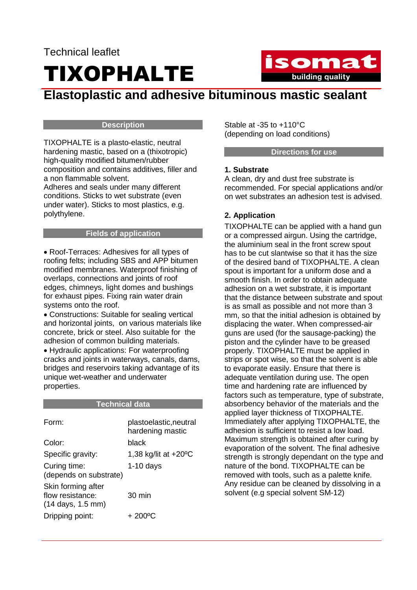# Technical leaflet TIXOPHALTE



# **Elastoplastic and adhesive bituminous mastic sealant**

#### **Description**

TIXOPHALTE is a plasto-elastic, neutral hardening mastic, based on a (thixotropic) high-quality modified bitumen/rubber composition and contains additives, filler and a non flammable solvent.

Adheres and seals under many different conditions. Sticks to wet substrate (even under water). Sticks to most plastics, e.g. polythylene.

#### **Fields of application**

• Roof-Terraces: Adhesives for all types of roofing felts; including SBS and APP bitumen modified membranes. Waterproof finishing of overlaps, connections and joints of roof edges, chimneys, light domes and bushings for exhaust pipes. Fixing rain water drain systems onto the roof.

• Constructions: Suitable for sealing vertical and horizontal joints, on various materials like concrete, brick or steel. Also suitable for the adhesion of common building materials.

• Hydraulic applications: For waterproofing cracks and joints in waterways, canals, dams, bridges and reservoirs taking advantage of its unique wet-weather and underwater properties.

#### **Technical data**

| Form:                                                                         | plastoelastic, neutral<br>hardening mastic |
|-------------------------------------------------------------------------------|--------------------------------------------|
| Color:                                                                        | black                                      |
| Specific gravity:                                                             | 1,38 kg/lit at +20°C                       |
| Curing time:<br>(depends on substrate)                                        | $1-10$ days                                |
| Skin forming after<br>flow resistance:<br>$(14 \text{ days}, 1.5 \text{ mm})$ | $30 \text{ min}$                           |
| Dripping point:                                                               | + 200°C                                    |

Stable at -35 to +110°C (depending on load conditions)

#### **Directions for use**

#### **1. Substrate**

A clean, dry and dust free substrate is recommended. For special applications and/or on wet substrates an adhesion test is advised.

# **2. Application**

TIXOPHALTE can be applied with a hand gun or a compressed airgun. Using the cartridge, the aluminium seal in the front screw spout has to be cut slantwise so that it has the size of the desired band of TIXOPHALTE. A clean spout is important for a uniform dose and a smooth finish. In order to obtain adequate adhesion on a wet substrate, it is important that the distance between substrate and spout is as small as possible and not more than 3 mm, so that the initial adhesion is obtained by displacing the water. When compressed-air guns are used (for the sausage-packing) the piston and the cylinder have to be greased properly. TIXOPHALTE must be applied in strips or spot wise, so that the solvent is able to evaporate easily. Ensure that there is adequate ventilation during use. The open time and hardening rate are influenced by factors such as temperature, type of substrate, absorbency behavior of the materials and the applied layer thickness of TIXOPHALTE. Immediately after applying TIXOPHALTE, the adhesion is sufficient to resist a low load. Maximum strength is obtained after curing by evaporation of the solvent. The final adhesive strength is strongly dependant on the type and nature of the bond. TIXOPHALTE can be removed with tools, such as a palette knife. Any residue can be cleaned by dissolving in a solvent (e.g special solvent SM-12)